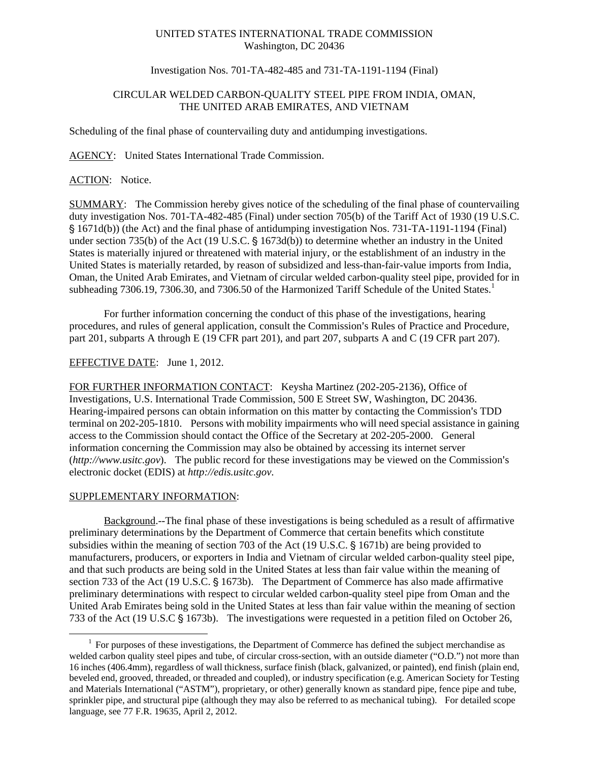# UNITED STATES INTERNATIONAL TRADE COMMISSION Washington, DC 20436

## Investigation Nos. 701-TA-482-485 and 731-TA-1191-1194 (Final)

## CIRCULAR WELDED CARBON-QUALITY STEEL PIPE FROM INDIA, OMAN, THE UNITED ARAB EMIRATES, AND VIETNAM

Scheduling of the final phase of countervailing duty and antidumping investigations.

AGENCY: United States International Trade Commission.

ACTION: Notice.

SUMMARY: The Commission hereby gives notice of the scheduling of the final phase of countervailing duty investigation Nos. 701-TA-482-485 (Final) under section 705(b) of the Tariff Act of 1930 (19 U.S.C. ' 1671d(b)) (the Act) and the final phase of antidumping investigation Nos. 731-TA-1191-1194 (Final) under section 735(b) of the Act (19 U.S.C.  $\S$  1673d(b)) to determine whether an industry in the United States is materially injured or threatened with material injury, or the establishment of an industry in the United States is materially retarded, by reason of subsidized and less-than-fair-value imports from India, Oman, the United Arab Emirates, and Vietnam of circular welded carbon-quality steel pipe, provided for in subheading 7306.19, 7306.30, and 7306.50 of the Harmonized Tariff Schedule of the United States.<sup>1</sup>

For further information concerning the conduct of this phase of the investigations, hearing procedures, and rules of general application, consult the Commission's Rules of Practice and Procedure, part 201, subparts A through E (19 CFR part 201), and part 207, subparts A and C (19 CFR part 207).

#### EFFECTIVE DATE: June 1, 2012.

FOR FURTHER INFORMATION CONTACT: Keysha Martinez (202-205-2136), Office of Investigations, U.S. International Trade Commission, 500 E Street SW, Washington, DC 20436. Hearing-impaired persons can obtain information on this matter by contacting the Commission's TDD terminal on 202-205-1810. Persons with mobility impairments who will need special assistance in gaining access to the Commission should contact the Office of the Secretary at 202-205-2000. General information concerning the Commission may also be obtained by accessing its internet server (http://www.usitc.gov). The public record for these investigations may be viewed on the Commission's electronic docket (EDIS) at *http://edis.usitc.gov*.

#### SUPPLEMENTARY INFORMATION:

 $\overline{a}$ 

Background.--The final phase of these investigations is being scheduled as a result of affirmative preliminary determinations by the Department of Commerce that certain benefits which constitute subsidies within the meaning of section 703 of the Act  $(19 \text{ U.S.C.} \text{S} 1671b)$  are being provided to manufacturers, producers, or exporters in India and Vietnam of circular welded carbon-quality steel pipe, and that such products are being sold in the United States at less than fair value within the meaning of section 733 of the Act (19 U.S.C. § 1673b). The Department of Commerce has also made affirmative preliminary determinations with respect to circular welded carbon-quality steel pipe from Oman and the United Arab Emirates being sold in the United States at less than fair value within the meaning of section 733 of the Act (19 U.S.C  $\S$  1673b). The investigations were requested in a petition filed on October 26,

<sup>&</sup>lt;sup>1</sup> For purposes of these investigations, the Department of Commerce has defined the subject merchandise as welded carbon quality steel pipes and tube, of circular cross-section, with an outside diameter ("O.D.") not more than 16 inches (406.4mm), regardless of wall thickness, surface finish (black, galvanized, or painted), end finish (plain end, beveled end, grooved, threaded, or threaded and coupled), or industry specification (e.g. American Society for Testing and Materials International ("ASTM"), proprietary, or other) generally known as standard pipe, fence pipe and tube, sprinkler pipe, and structural pipe (although they may also be referred to as mechanical tubing). For detailed scope language, see 77 F.R. 19635, April 2, 2012.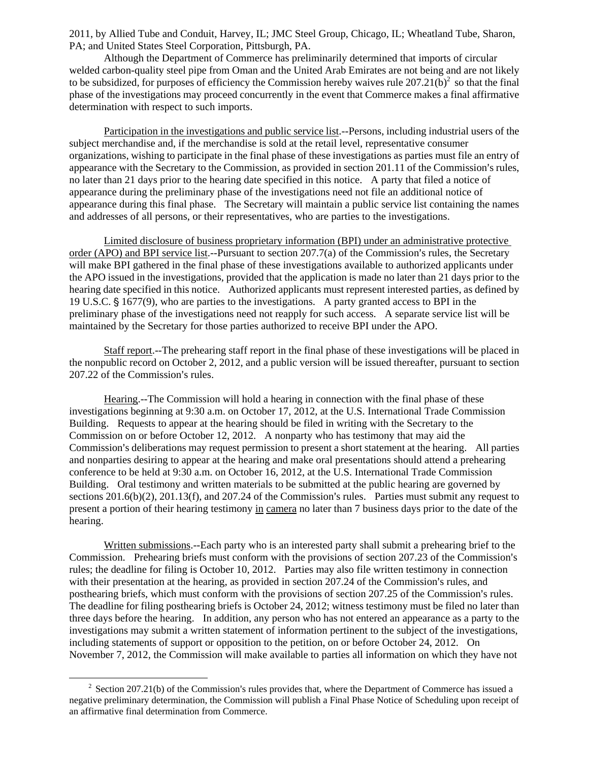2011, by Allied Tube and Conduit, Harvey, IL; JMC Steel Group, Chicago, IL; Wheatland Tube, Sharon, PA; and United States Steel Corporation, Pittsburgh, PA.

Although the Department of Commerce has preliminarily determined that imports of circular welded carbon-quality steel pipe from Oman and the United Arab Emirates are not being and are not likely to be subsidized, for purposes of efficiency the Commission hereby waives rule  $207.21(b)^2$  so that the final phase of the investigations may proceed concurrently in the event that Commerce makes a final affirmative determination with respect to such imports.

Participation in the investigations and public service list.--Persons, including industrial users of the subject merchandise and, if the merchandise is sold at the retail level, representative consumer organizations, wishing to participate in the final phase of these investigations as parties must file an entry of appearance with the Secretary to the Commission, as provided in section 201.11 of the Commission's rules, no later than 21 days prior to the hearing date specified in this notice. A party that filed a notice of appearance during the preliminary phase of the investigations need not file an additional notice of appearance during this final phase. The Secretary will maintain a public service list containing the names and addresses of all persons, or their representatives, who are parties to the investigations.

Limited disclosure of business proprietary information (BPI) under an administrative protective order (APO) and BPI service list.--Pursuant to section  $207.7(a)$  of the Commission's rules, the Secretary will make BPI gathered in the final phase of these investigations available to authorized applicants under the APO issued in the investigations, provided that the application is made no later than 21 days prior to the hearing date specified in this notice. Authorized applicants must represent interested parties, as defined by 19 U.S.C. § 1677(9), who are parties to the investigations. A party granted access to BPI in the preliminary phase of the investigations need not reapply for such access. A separate service list will be maintained by the Secretary for those parties authorized to receive BPI under the APO.

Staff report.--The prehearing staff report in the final phase of these investigations will be placed in the nonpublic record on October 2, 2012, and a public version will be issued thereafter, pursuant to section 207.22 of the Commission's rules.

Hearing.--The Commission will hold a hearing in connection with the final phase of these investigations beginning at 9:30 a.m. on October 17, 2012, at the U.S. International Trade Commission Building. Requests to appear at the hearing should be filed in writing with the Secretary to the Commission on or before October 12, 2012. A nonparty who has testimony that may aid the Commission's deliberations may request permission to present a short statement at the hearing. All parties and nonparties desiring to appear at the hearing and make oral presentations should attend a prehearing conference to be held at 9:30 a.m. on October 16, 2012, at the U.S. International Trade Commission Building. Oral testimony and written materials to be submitted at the public hearing are governed by sections  $201.6(b)(2)$ ,  $201.13(f)$ , and  $207.24$  of the Commission's rules. Parties must submit any request to present a portion of their hearing testimony in camera no later than 7 business days prior to the date of the hearing.

Written submissions.--Each party who is an interested party shall submit a prehearing brief to the Commission. Prehearing briefs must conform with the provisions of section 207.23 of the Commission's rules; the deadline for filing is October 10, 2012. Parties may also file written testimony in connection with their presentation at the hearing, as provided in section 207.24 of the Commission's rules, and posthearing briefs, which must conform with the provisions of section 207.25 of the Commission's rules. The deadline for filing posthearing briefs is October 24, 2012; witness testimony must be filed no later than three days before the hearing. In addition, any person who has not entered an appearance as a party to the investigations may submit a written statement of information pertinent to the subject of the investigations, including statements of support or opposition to the petition, on or before October 24, 2012. On November 7, 2012, the Commission will make available to parties all information on which they have not

 $\overline{a}$ 

 $2$  Section 207.21(b) of the Commission's rules provides that, where the Department of Commerce has issued a negative preliminary determination, the Commission will publish a Final Phase Notice of Scheduling upon receipt of an affirmative final determination from Commerce.